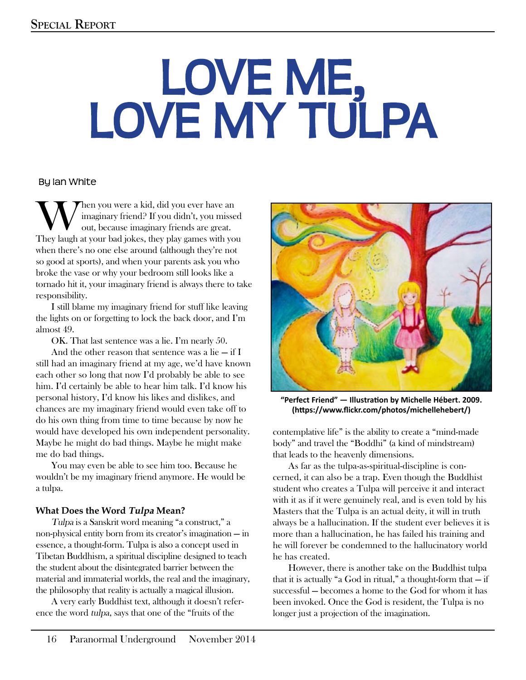# LOVE ME, LOVE MY TULPA

#### By Ian White

When you were a kid, did you ever have an imaginary friend? If you didn't, you misse<br>out, because imaginary friends are great.<br>They laugh at your had jokes, they play games with you imaginary friend? If you didn't, you missed out, because imaginary friends are great. They laugh at your bad jokes, they play games with you when there's no one else around (although they're not so good at sports), and when your parents ask you who broke the vase or why your bedroom still looks like a tornado hit it, your imaginary friend is always there to take responsibility.

I still blame my imaginary friend for stuff like leaving the lights on or forgetting to lock the back door, and I'm almost 49.

OK. That last sentence was a lie. I'm nearly 50.

And the other reason that sentence was a lie  $-$  if I still had an imaginary friend at my age, we'd have known each other so long that now I'd probably be able to see him. I'd certainly be able to hear him talk. I'd know his personal history, I'd know his likes and dislikes, and chances are my imaginary friend would even take off to do his own thing from time to time because by now he would have developed his own independent personality. Maybe he might do bad things. Maybe he might make me do bad things.

You may even be able to see him too. Because he wouldn't be my imaginary friend anymore. He would be a tulpa.

#### **What Does the Word Tulpa Mean?**

Tulpa is a Sanskrit word meaning "a construct," a non-physical entity born from its creator's imagination — in essence, a thought-form. Tulpa is also a concept used in Tibetan Buddhism, a spiritual discipline designed to teach the student about the disintegrated barrier between the material and immaterial worlds, the real and the imaginary, the philosophy that reality is actually a magical illusion.

A very early Buddhist text, although it doesn't reference the word tulpa, says that one of the "fruits of the



**"Perfect Friend" — Illustration by Michelle Hébert. 2009. (https://www.flickr.com/photos/michellehebert/)**

contemplative life" is the ability to create a "mind-made body" and travel the "Boddhi" (a kind of mindstream) that leads to the heavenly dimensions.

As far as the tulpa-as-spiritual-discipline is concerned, it can also be a trap. Even though the Buddhist student who creates a Tulpa will perceive it and interact with it as if it were genuinely real, and is even told by his Masters that the Tulpa is an actual deity, it will in truth always be a hallucination. If the student ever believes it is more than a hallucination, he has failed his training and he will forever be condemned to the hallucinatory world he has created.

However, there is another take on the Buddhist tulpa that it is actually "a God in ritual," a thought-form that  $-$  if successful — becomes a home to the God for whom it has been invoked. Once the God is resident, the Tulpa is no longer just a projection of the imagination.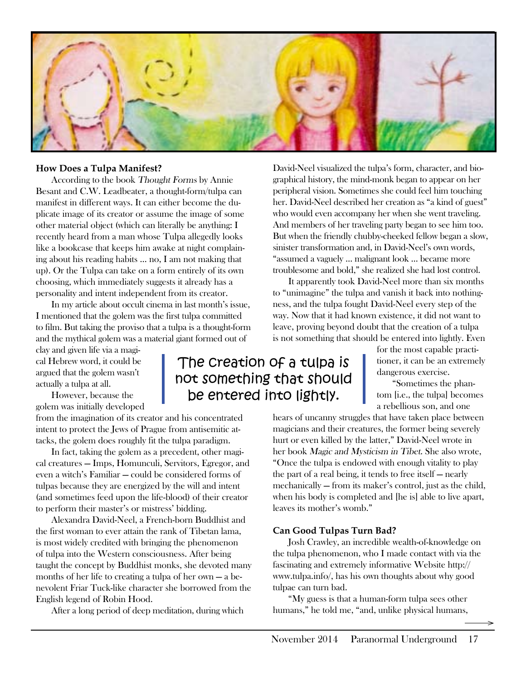

#### **How Does a Tulpa Manifest?**

According to the book Thought Forms by Annie Besant and C.W. Leadbeater, a thought-form/tulpa can manifest in different ways. It can either become the duplicate image of its creator or assume the image of some other material object (which can literally be anything: I recently heard from a man whose Tulpa allegedly looks like a bookcase that keeps him awake at night complaining about his reading habits … no, I am not making that up). Or the Tulpa can take on a form entirely of its own choosing, which immediately suggests it already has a personality and intent independent from its creator.

In my article about occult cinema in last month's issue, I mentioned that the golem was the first tulpa committed to film. But taking the proviso that a tulpa is a thought-form and the mythical golem was a material giant formed out of

clay and given life via a magical Hebrew word, it could be argued that the golem wasn't actually a tulpa at all.

However, because the golem was initially developed

from the imagination of its creator and his concentrated intent to protect the Jews of Prague from antisemitic attacks, the golem does roughly fit the tulpa paradigm.

In fact, taking the golem as a precedent, other magical creatures — Imps, Homunculi, Servitors, Egregor, and even a witch's Familiar — could be considered forms of tulpas because they are energized by the will and intent (and sometimes feed upon the life-blood) of their creator to perform their master's or mistress' bidding.

Alexandra David-Neel, a French-born Buddhist and the first woman to ever attain the rank of Tibetan lama, is most widely credited with bringing the phenomenon of tulpa into the Western consciousness. After being taught the concept by Buddhist monks, she devoted many months of her life to creating a tulpa of her own — a benevolent Friar Tuck-like character she borrowed from the English legend of Robin Hood.

After a long period of deep meditation, during which

David-Neel visualized the tulpa's form, character, and biographical history, the mind-monk began to appear on her peripheral vision. Sometimes she could feel him touching her. David-Neel described her creation as "a kind of guest" who would even accompany her when she went traveling. And members of her traveling party began to see him too. But when the friendly chubby-cheeked fellow began a slow, sinister transformation and, in David-Neel's own words, "assumed a vaguely … malignant look … became more troublesome and bold," she realized she had lost control.

It apparently took David-Neel more than six months to "unimagine" the tulpa and vanish it back into nothingness, and the tulpa fought David-Neel every step of the way. Now that it had known existence, it did not want to leave, proving beyond doubt that the creation of a tulpa is not something that should be entered into lightly. Even

> for the most capable practitioner, it can be an extremely dangerous exercise.

"Sometimes the phantom [i.e., the tulpa] becomes a rebellious son, and one

hears of uncanny struggles that have taken place between magicians and their creatures, the former being severely hurt or even killed by the latter," David-Neel wrote in her book Magic and Mysticism in Tibet. She also wrote, "Once the tulpa is endowed with enough vitality to play the part of a real being, it tends to free itself — nearly mechanically — from its maker's control, just as the child, when his body is completed and [he is] able to live apart, leaves its mother's womb."

#### **Can Good Tulpas Turn Bad?**

Josh Crawley, an incredible wealth-of-knowledge on the tulpa phenomenon, who I made contact with via the fascinating and extremely informative Website http:// www.tulpa.info/, has his own thoughts about why good tulpae can turn bad.

"My guess is that a human-form tulpa sees other humans," he told me, "and, unlike physical humans,

## The creation of a tulpa is not something that should be entered into lightly.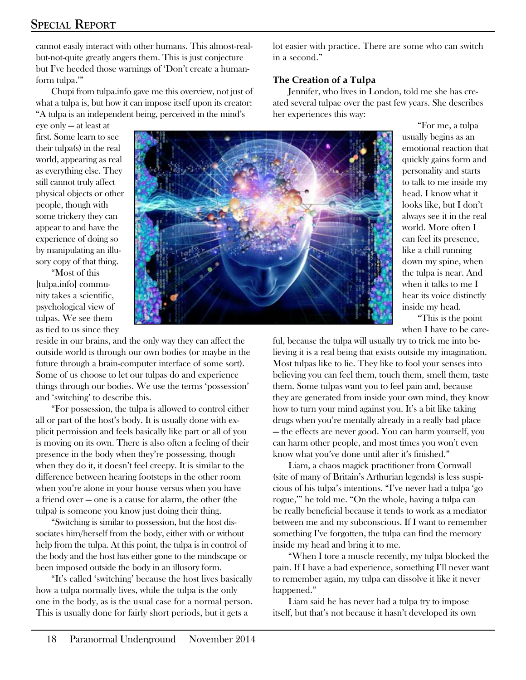cannot easily interact with other humans. This almost-realbut-not-quite greatly angers them. This is just conjecture but I've heeded those warnings of 'Don't create a humanform tulpa.'"

Chupi from tulpa.info gave me this overview, not just of what a tulpa is, but how it can impose itself upon its creator: "A tulpa is an independent being, perceived in the mind's

eye only — at least at first. Some learn to see their tulpa(s) in the real world, appearing as real as everything else. They still cannot truly affect physical objects or other people, though with some trickery they can appear to and have the experience of doing so by manipulating an illusory copy of that thing.

"Most of this [tulpa.info] community takes a scientific, psychological view of tulpas. We see them as tied to us since they

reside in our brains, and the only way they can affect the outside world is through our own bodies (or maybe in the future through a brain-computer interface of some sort). Some of us choose to let our tulpas do and experience things through our bodies. We use the terms 'possession' and 'switching' to describe this.

"For possession, the tulpa is allowed to control either all or part of the host's body. It is usually done with explicit permission and feels basically like part or all of you is moving on its own. There is also often a feeling of their presence in the body when they're possessing, though when they do it, it doesn't feel creepy. It is similar to the difference between hearing footsteps in the other room when you're alone in your house versus when you have a friend over — one is a cause for alarm, the other (the tulpa) is someone you know just doing their thing.

"Switching is similar to possession, but the host dissociates him/herself from the body, either with or without help from the tulpa. At this point, the tulpa is in control of the body and the host has either gone to the mindscape or been imposed outside the body in an illusory form.

"It's called 'switching' because the host lives basically how a tulpa normally lives, while the tulpa is the only one in the body, as is the usual case for a normal person. This is usually done for fairly short periods, but it gets a

lot easier with practice. There are some who can switch in a second."

#### **The Creation of a Tulpa**

Jennifer, who lives in London, told me she has created several tulpae over the past few years. She describes her experiences this way:

> "For me, a tulpa usually begins as an emotional reaction that quickly gains form and personality and starts to talk to me inside my head. I know what it looks like, but I don't always see it in the real world. More often I can feel its presence, like a chill running down my spine, when the tulpa is near. And when it talks to me I hear its voice distinctly inside my head.

> "This is the point when I have to be care-

ful, because the tulpa will usually try to trick me into believing it is a real being that exists outside my imagination. Most tulpas like to lie. They like to fool your senses into believing you can feel them, touch them, smell them, taste them. Some tulpas want you to feel pain and, because they are generated from inside your own mind, they know how to turn your mind against you. It's a bit like taking drugs when you're mentally already in a really bad place — the effects are never good. You can harm yourself, you can harm other people, and most times you won't even know what you've done until after it's finished."

Liam, a chaos magick practitioner from Cornwall (site of many of Britain's Arthurian legends) is less suspicious of his tulpa's intentions. "I've never had a tulpa 'go rogue,'" he told me. "On the whole, having a tulpa can be really beneficial because it tends to work as a mediator between me and my subconscious. If I want to remember something I've forgotten, the tulpa can find the memory inside my head and bring it to me.

"When I tore a muscle recently, my tulpa blocked the pain. If I have a bad experience, something I'll never want to remember again, my tulpa can dissolve it like it never happened."

Liam said he has never had a tulpa try to impose itself, but that's not because it hasn't developed its own

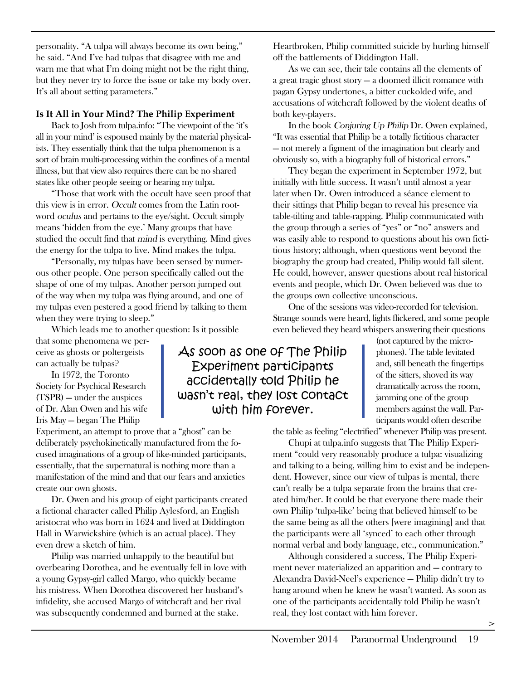personality. "A tulpa will always become its own being," he said. "And I've had tulpas that disagree with me and warn me that what I'm doing might not be the right thing, but they never try to force the issue or take my body over. It's all about setting parameters."

#### **Is It All in Your Mind? The Philip Experiment**

Back to Josh from tulpa.info: "The viewpoint of the 'it's all in your mind' is espoused mainly by the material physicalists. They essentially think that the tulpa phenomenon is a sort of brain multi-processing within the confines of a mental illness, but that view also requires there can be no shared states like other people seeing or hearing my tulpa.

"Those that work with the occult have seen proof that this view is in error. Occult comes from the Latin rootword oculus and pertains to the eye/sight. Occult simply means 'hidden from the eye.' Many groups that have studied the occult find that mind is everything. Mind gives the energy for the tulpa to live. Mind makes the tulpa.

"Personally, my tulpas have been sensed by numerous other people. One person specifically called out the shape of one of my tulpas. Another person jumped out of the way when my tulpa was flying around, and one of my tulpas even pestered a good friend by talking to them when they were trying to sleep."

Which leads me to another question: Is it possible

that some phenomena we perceive as ghosts or poltergeists can actually be tulpas?

In 1972, the Toronto Society for Psychical Research (TSPR) — under the auspices of Dr. Alan Owen and his wife Iris May — began The Philip

Experiment, an attempt to prove that a "ghost" can be deliberately psychokinetically manufactured from the focused imaginations of a group of like-minded participants, essentially, that the supernatural is nothing more than a manifestation of the mind and that our fears and anxieties create our own ghosts.

Dr. Owen and his group of eight participants created a fictional character called Philip Aylesford, an English aristocrat who was born in 1624 and lived at Diddington Hall in Warwickshire (which is an actual place). They even drew a sketch of him.

Philip was married unhappily to the beautiful but overbearing Dorothea, and he eventually fell in love with a young Gypsy-girl called Margo, who quickly became his mistress. When Dorothea discovered her husband's infidelity, she accused Margo of witchcraft and her rival was subsequently condemned and burned at the stake.

As soon as one of The Philip Experiment participants accidentally told Philip he wasn't real, they lost contact with him forever.

Heartbroken, Philip committed suicide by hurling himself off the battlements of Diddington Hall.

As we can see, their tale contains all the elements of a great tragic ghost story — a doomed illicit romance with pagan Gypsy undertones, a bitter cuckolded wife, and accusations of witchcraft followed by the violent deaths of both key-players.

In the book Conjuring Up Philip Dr. Owen explained, "It was essential that Philip be a totally fictitious character — not merely a figment of the imagination but clearly and obviously so, with a biography full of historical errors."

They began the experiment in September 1972, but initially with little success. It wasn't until almost a year later when Dr. Owen introduced a séance element to their sittings that Philip began to reveal his presence via table-tilting and table-rapping. Philip communicated with the group through a series of "yes" or "no" answers and was easily able to respond to questions about his own fictitious history; although, when questions went beyond the biography the group had created, Philip would fall silent. He could, however, answer questions about real historical events and people, which Dr. Owen believed was due to the groups own collective unconscious.

One of the sessions was video-recorded for television. Strange sounds were heard, lights flickered, and some people even believed they heard whispers answering their questions

> (not captured by the microphones). The table levitated and, still beneath the fingertips of the sitters, shoved its way dramatically across the room, jamming one of the group members against the wall. Participants would often describe

the table as feeling "electrified" whenever Philip was present.

Chupi at tulpa.info suggests that The Philip Experiment "could very reasonably produce a tulpa: visualizing and talking to a being, willing him to exist and be independent. However, since our view of tulpas is mental, there can't really be a tulpa separate from the brains that created him/her. It could be that everyone there made their own Philip 'tulpa-like' being that believed himself to be the same being as all the others [were imagining] and that the participants were all 'synced' to each other through normal verbal and body language, etc., communication."

Although considered a success, The Philip Experiment never materialized an apparition and — contrary to Alexandra David-Neel's experience — Philip didn't try to hang around when he knew he wasn't wanted. As soon as one of the participants accidentally told Philip he wasn't real, they lost contact with him forever.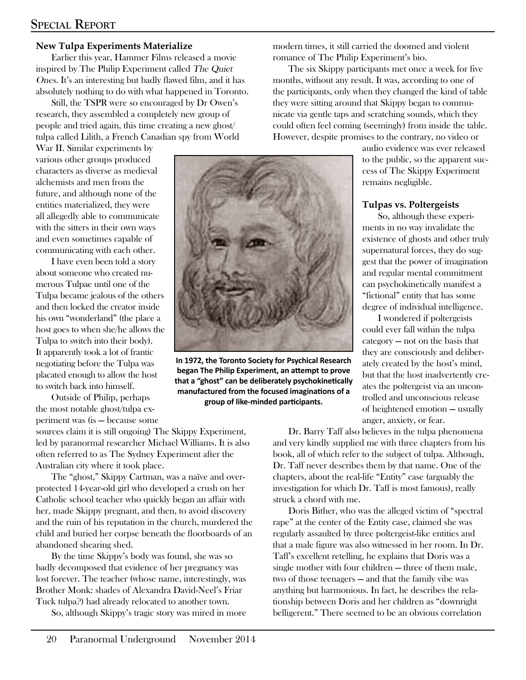#### **New Tulpa Experiments Materialize**

Earlier this year, Hammer Films released a movie inspired by The Philip Experiment called The Quiet Ones. It's an interesting but badly flawed film, and it has absolutely nothing to do with what happened in Toronto.

Still, the TSPR were so encouraged by Dr Owen's research, they assembled a completely new group of people and tried again, this time creating a new ghost/ tulpa called Lilith, a French Canadian spy from World

War II. Similar experiments by various other groups produced characters as diverse as medieval alchemists and men from the future, and although none of the entities materialized, they were all allegedly able to communicate with the sitters in their own ways and even sometimes capable of communicating with each other.

I have even been told a story about someone who created numerous Tulpae until one of the Tulpa became jealous of the others and then locked the creator inside his own "wonderland" (the place a host goes to when she/he allows the Tulpa to switch into their body). It apparently took a lot of frantic negotiating before the Tulpa was placated enough to allow the host to switch back into himself.

Outside of Philip, perhaps the most notable ghost/tulpa experiment was (is — because some

sources claim it is still ongoing) The Skippy Experiment, led by paranormal researcher Michael Williams. It is also often referred to as The Sydney Experiment after the Australian city where it took place.

The "ghost," Skippy Cartman, was a naïve and overprotected 14-year-old girl who developed a crush on her Catholic school teacher who quickly began an affair with her, made Skippy pregnant, and then, to avoid discovery and the ruin of his reputation in the church, murdered the child and buried her corpse beneath the floorboards of an abandoned shearing shed.

By the time Skippy's body was found, she was so badly decomposed that evidence of her pregnancy was lost forever. The teacher (whose name, interestingly, was Brother Monk: shades of Alexandra David-Neel's Friar Tuck tulpa?) had already relocated to another town.

So, although Skippy's tragic story was mired in more

modern times, it still carried the doomed and violent romance of The Philip Experiment's bio.

The six Skippy participants met once a week for five months, without any result. It was, according to one of the participants, only when they changed the kind of table they were sitting around that Skippy began to communicate via gentle taps and scratching sounds, which they could often feel coming (seemingly) from inside the table. However, despite promises to the contrary, no video or

> audio evidence was ever released to the public, so the apparent success of The Skippy Experiment remains negligible.

#### **Tulpas vs. Poltergeists**

So, although these experiments in no way invalidate the existence of ghosts and other truly supernatural forces, they do suggest that the power of imagination and regular mental commitment can psychokinetically manifest a "fictional" entity that has some degree of individual intelligence.

I wondered if poltergeists could ever fall within the tulpa category — not on the basis that they are consciously and deliberately created by the host's mind, but that the host inadvertently creates the poltergeist via an uncontrolled and unconscious release of heightened emotion — usually anger, anxiety, or fear.

Dr. Barry Taff also believes in the tulpa phenomena and very kindly supplied me with three chapters from his book, all of which refer to the subject of tulpa. Although, Dr. Taff never describes them by that name. One of the chapters, about the real-life "Entity" case (arguably the investigation for which Dr. Taff is most famous), really struck a chord with me.

Doris Bither, who was the alleged victim of "spectral rape" at the center of the Entity case, claimed she was regularly assaulted by three poltergeist-like entities and that a male figure was also witnessed in her room. In Dr. Taff's excellent retelling, he explains that Doris was a single mother with four children — three of them male, two of those teenagers — and that the family vibe was anything but harmonious. In fact, he describes the relationship between Doris and her children as "downright belligerent." There seemed to be an obvious correlation



**manufactured from the focused imaginations of a group of like-minded participants.**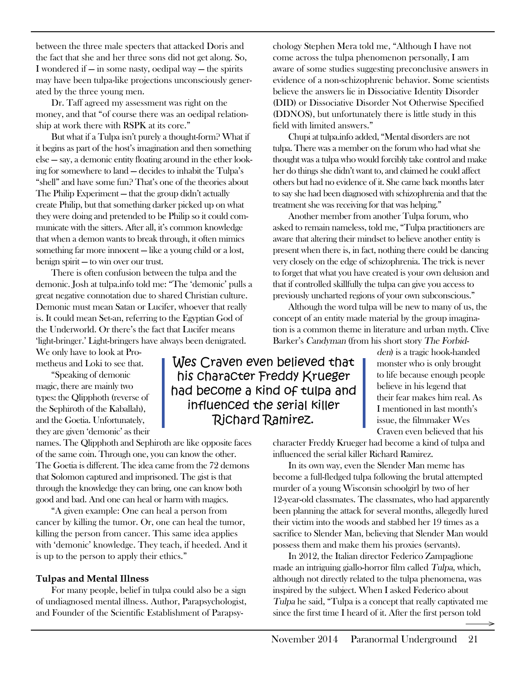between the three male specters that attacked Doris and the fact that she and her three sons did not get along. So, I wondered if — in some nasty, oedipal way — the spirits may have been tulpa-like projections unconsciously generated by the three young men.

Dr. Taff agreed my assessment was right on the money, and that "of course there was an oedipal relationship at work there with RSPK at its core."

But what if a Tulpa isn't purely a thought-form? What if it begins as part of the host's imagination and then something else — say, a demonic entity floating around in the ether looking for somewhere to land — decides to inhabit the Tulpa's "shell" and have some fun? That's one of the theories about The Philip Experiment — that the group didn't actually create Philip, but that something darker picked up on what they were doing and pretended to be Philip so it could communicate with the sitters. After all, it's common knowledge that when a demon wants to break through, it often mimics something far more innocent — like a young child or a lost, benign spirit — to win over our trust.

There is often confusion between the tulpa and the demonic. Josh at tulpa.info told me: "The 'demonic' pulls a great negative connotation due to shared Christian culture. Demonic must mean Satan or Lucifer, whoever that really is. It could mean Set-an, referring to the Egyptian God of the Underworld. Or there's the fact that Lucifer means 'light-bringer.' Light-bringers have always been denigrated.

We only have to look at Prometheus and Loki to see that.

"Speaking of demonic magic, there are mainly two types: the Qlipphoth (reverse of the Sephiroth of the Kaballah), and the Goetia. Unfortunately, they are given 'demonic' as their

names. The Qlipphoth and Sephiroth are like opposite faces of the same coin. Through one, you can know the other. The Goetia is different. The idea came from the 72 demons that Solomon captured and imprisoned. The gist is that through the knowledge they can bring, one can know both good and bad. And one can heal or harm with magics.

"A given example: One can heal a person from cancer by killing the tumor. Or, one can heal the tumor, killing the person from cancer. This same idea applies with 'demonic' knowledge. They teach, if heeded. And it is up to the person to apply their ethics."

#### **Tulpas and Mental Illness**

For many people, belief in tulpa could also be a sign of undiagnosed mental illness. Author, Parapsychologist, and Founder of the Scientific Establishment of Parapsy-

Wes Craven even believed that his character Freddy Krueger had become a kind of tulpa and influenced the serial killer Richard Ramirez.

chology Stephen Mera told me, "Although I have not come across the tulpa phenomenon personally, I am aware of some studies suggesting preconclusive answers in evidence of a non-schizophrenic behavior. Some scientists believe the answers lie in Dissociative Identity Disorder (DID) or Dissociative Disorder Not Otherwise Specified (DDNOS), but unfortunately there is little study in this field with limited answers."

Chupi at tulpa.info added, "Mental disorders are not tulpa. There was a member on the forum who had what she thought was a tulpa who would forcibly take control and make her do things she didn't want to, and claimed he could affect others but had no evidence of it. She came back months later to say she had been diagnosed with schizophrenia and that the treatment she was receiving for that was helping."

Another member from another Tulpa forum, who asked to remain nameless, told me, "Tulpa practitioners are aware that altering their mindset to believe another entity is present when there is, in fact, nothing there could be dancing very closely on the edge of schizophrenia. The trick is never to forget that what you have created is your own delusion and that if controlled skillfully the tulpa can give you access to previously uncharted regions of your own subconscious."

Although the word tulpa will be new to many of us, the concept of an entity made material by the group imagination is a common theme in literature and urban myth. Clive Barker's Candyman (from his short story The Forbid-

> den) is a tragic hook-handed monster who is only brought to life because enough people believe in his legend that their fear makes him real. As I mentioned in last month's issue, the filmmaker Wes Craven even believed that his

character Freddy Krueger had become a kind of tulpa and influenced the serial killer Richard Ramirez.

In its own way, even the Slender Man meme has become a full-fledged tulpa following the brutal attempted murder of a young Wisconsin schoolgirl by two of her 12-year-old classmates. The classmates, who had apparently been planning the attack for several months, allegedly lured their victim into the woods and stabbed her 19 times as a sacrifice to Slender Man, believing that Slender Man would possess them and make them his proxies (servants).

In 2012, the Italian director Federico Zampaglione made an intriguing giallo-horror film called Tulpa, which, although not directly related to the tulpa phenomena, was inspired by the subject. When I asked Federico about Tulpa he said, "Tulpa is a concept that really captivated me since the first time I heard of it. After the first person told